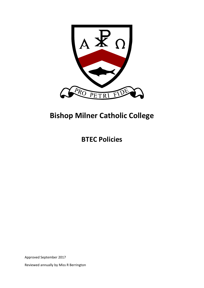

# **Bishop Milner Catholic College**

**BTEC Policies** 

Approved September 2017

Reviewed annually by Miss R Berrington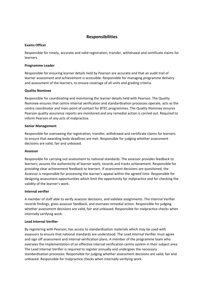### **Responsibilities**

#### **Exams Officer**

Responsible for timely, accurate and valid registration, transfer, withdrawal and certificate claims for learners.

#### **Programme Leader**

Responsible for ensuring learner details held by Pearson are accurate and that an audit trail of learner assessment and achievement is accessible. Responsible for managing programme delivery and assessment of the learners, to ensure coverage of all units and grading criteria.

#### **Quality Nominee**

Responsible for coordinating and monitoring the learner details held with Pearson. The Quality Nominee ensures that centre internal verification and standardisation processes operate, acts as the centre coordinator and main point of contact for BTEC programmes. The Quality Nominee ensures Pearson quality assurance reports are monitored and any remedial action is carried out. Required to inform Pearson of any acts of malpractice.

#### **Senior Management**

Responsible for overseeing the registration, transfer, withdrawal and certificate claims for learners to ensure that awarding body deadlines are met. Responsible for judging whether assessment decisions are valid, fair and unbiased.

#### **Assessor**

Responsible for carrying out assessment to national standards. The assessor provides feedback to learners; assures the authenticity of learner work; records and tracks achievement. Responsible for providing clear achievement feedback to learners. If assessment decisions are questioned, the Assessor is responsible for processing the learner's appeal within the agreed time. Responsible for designing assessment opportunities which limit the opportunity for malpractice and for checking the validity of the learner's work.

#### **Internal verifier**

A member of staff able to verify assessor decisions, and validate assignments. The Internal Verifier records findings, gives assessor feedback, and oversees remedial action. Responsible for judging whether assessment decisions are valid, fair and unbiased. Responsible for malpractice checks when internally verifying work.

#### **Lead Internal Verifier**

By registering with Pearson, has access to standardisation materials which may be used with assessors to ensure that national standards are understood. The Lead Internal Verifier must agree and sign off assessment and internal verification plans. A member of the programme team who oversees the implementation of an effective internal verification centre system in their subject area. The Lead Internal Verifier is required to register annually and undergoes the necessary standardisation processes. Responsible for judging whether assessment decisions are valid, fair and unbiased. Responsible for malpractice checks when internally verifying work.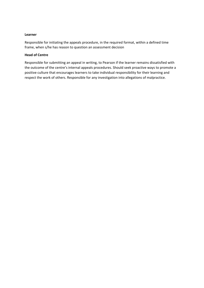#### **Learner**

Responsible for initiating the appeals procedure, in the required format, within a defined time frame, when s/he has reason to question an assessment decision

#### **Head of Centre**

Responsible for submitting an appeal in writing, to Pearson if the learner remains dissatisfied with the outcome of the centre's internal appeals procedures. Should seek proactive ways to promote a positive culture that encourages learners to take individual responsibility for their learning and respect the work of others. Responsible for any investigation into allegations of malpractice.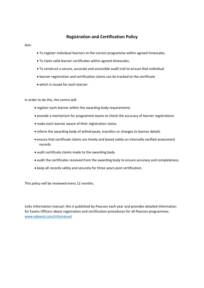### **Registration and Certification Policy**

Aim:

- To register individual learners to the correct programme within agreed timescales.
- To claim valid learner certificates within agreed timescales.
- To construct a secure, accurate and accessible audit trail to ensure that individual
- learner registration and certification claims can be tracked to the certificate
- which is issued for each learner.

In order to do this, the centre will:

- register each learner within the awarding body requirements
- provide a mechanism for programme teams to check the accuracy of learner registrations
- make each learner aware of their registration status
- inform the awarding body of withdrawals, transfers or changes to learner details
- ensure that certificate claims are timely and based solely on internally verified assessment records
- audit certificate claims made to the awarding body
- audit the certificates received from the awarding body to ensure accuracy and completeness
- keep all records safely and securely for three years post certification.

This policy will be reviewed every 12 months.

Links Information manual: this is published by Pearson each year and provides detailed information for Exams Officers about registration and certification procedures for all Pearson programmes: www.edexcel.com/infomanual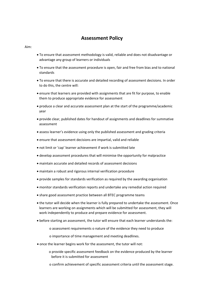# **Assessment Policy**

Aim:

- To ensure that assessment methodology is valid, reliable and does not disadvantage or advantage any group of learners or individuals
- To ensure that the assessment procedure is open, fair and free from bias and to national standards
- To ensure that there is accurate and detailed recording of assessment decisions. In order to do this, the centre will:
- ensure that learners are provided with assignments that are fit for purpose, to enable them to produce appropriate evidence for assessment
- produce a clear and accurate assessment plan at the start of the programme/academic year
- provide clear, published dates for handout of assignments and deadlines for summative assessment
- assess learner's evidence using only the published assessment and grading criteria
- ensure that assessment decisions are impartial, valid and reliable
- not limit or 'cap' learner achievement if work is submitted late
- develop assessment procedures that will minimise the opportunity for malpractice
- maintain accurate and detailed records of assessment decisions
- maintain a robust and rigorous internal verification procedure
- provide samples for standards verification as required by the awarding organisation
- monitor standards verification reports and undertake any remedial action required
- share good assessment practice between all BTEC programme teams
- the tutor will decide when the learner is fully prepared to undertake the assessment. Once learners are working on assignments which will be submitted for assessment, they will work independently to produce and prepare evidence for assessment.
- before starting an assessment, the tutor will ensure that each learner understands the:
	- o assessment requirements o nature of the evidence they need to produce
	- o importance of time management and meeting deadlines.
- once the learner begins work for the assessment, the tutor will not:
	- o provide specific assessment feedback on the evidence produced by the learner before it is submitted for assessment
	- o confirm achievement of specific assessment criteria until the assessment stage.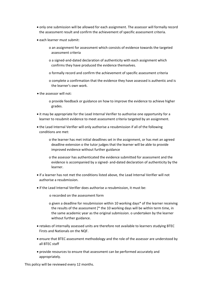- only one submission will be allowed for each assignment. The assessor will formally record the assessment result and confirm the achievement of specific assessment criteria.
- each learner must submit:
	- o an assignment for assessment which consists of evidence towards the targeted assessment criteria
	- o a signed‐and‐dated declaration of authenticity with each assignment which confirms they have produced the evidence themselves.
	- o formally record and confirm the achievement of specific assessment criteria
	- o complete a confirmation that the evidence they have assessed is authentic and is the learner's own work.
- the assessor will not:
	- o provide feedback or guidance on how to improve the evidence to achieve higher grades.
- it may be appropriate for the Lead Internal Verifier to authorise one opportunity for a learner to resubmit evidence to meet assessment criteria targeted by an assignment.
- the Lead Internal Verifier will only authorise a resubmission if all of the following conditions are met:
	- o the learner has met initial deadlines set in the assignment, or has met an agreed deadline extension o the tutor judges that the learner will be able to provide improved evidence without further guidance
	- o the assessor has authenticated the evidence submitted for assessment and the evidence is accompanied by a signed‐ and‐dated declaration of authenticity by the learner.
- if a learner has not met the conditions listed above, the Lead Internal Verifier will not authorise a resubmission.
- if the Lead Internal Verifier does authorise a resubmission, it must be:
	- o recorded on the assessment form
	- o given a deadline for resubmission within 10 working days\* of the learner receiving the results of the assessment [\* the 10 working days will be within term time, in the same academic year as the original submission. o undertaken by the learner without further guidance.
- retakes of internally assessed units are therefore not available to learners studying BTEC Firsts and Nationals on the NQF.
- ensure that BTEC assessment methodology and the role of the assessor are understood by all BTEC staff
- provide resources to ensure that assessment can be performed accurately and appropriately.

This policy will be reviewed every 12 months.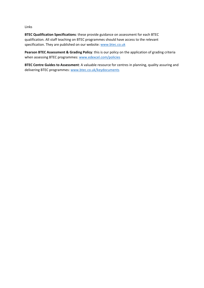Links

**BTEC Qualification Specifications**: these provide guidance on assessment for each BTEC qualification. All staff teaching on BTEC programmes should have access to the relevant specification. They are published on our website: www.btec.co.uk

**Pearson BTEC Assessment & Grading Policy**: this is our policy on the application of grading criteria when assessing BTEC programmes: www.edexcel.com/policies

**BTEC Centre Guides to Assessment**: A valuable resource for centres in planning, quality assuring and delivering BTEC programmes: www.btec.co.uk/keydocuments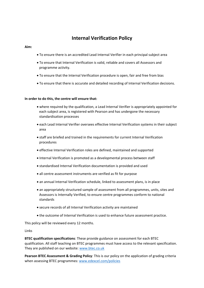# **Internal Verification Policy**

#### **Aim:**

- To ensure there is an accredited Lead Internal Verifier in each principal subject area
- To ensure that Internal Verification is valid, reliable and covers all Assessors and programme activity.
- To ensure that the Internal Verification procedure is open, fair and free from bias
- To ensure that there is accurate and detailed recording of Internal Verification decisions.

#### **In order to do this, the centre will ensure that:**

- where required by the qualification, a Lead Internal Verifier is appropriately appointed for each subject area, is registered with Pearson and has undergone the necessary standardisation processes
- each Lead Internal Verifier oversees effective Internal Verification systems in their subject area
- staff are briefed and trained in the requirements for current Internal Verification procedures
- effective Internal Verification roles are defined, maintained and supported
- Internal Verification is promoted as a developmental process between staff
- standardised Internal Verification documentation is provided and used
- all centre assessment instruments are verified as fit for purpose
- an annual Internal Verification schedule, linked to assessment plans, is in place
- an appropriately structured sample of assessment from all programmes, units, sites and Assessors is Internally Verified, to ensure centre programmes conform to national standards
- secure records of all Internal Verification activity are maintained
- the outcome of Internal Verification is used to enhance future assessment practice.

This policy will be reviewed every 12 months.

Links

**BTEC qualification specifications**: These provide guidance on assessment for each BTEC qualification. All staff teaching on BTEC programmes must have access to the relevant specification. They are published on our website: www.btec.co.uk

**Pearson BTEC Assessment & Grading Policy**: This is our policy on the application of grading criteria when assessing BTEC programmes: www.edexcel.com/policies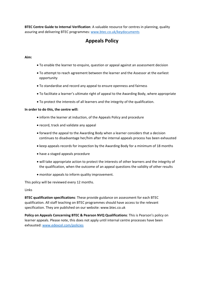**BTEC Centre Guide to Internal Verification**: A valuable resource for centres in planning, quality assuring and delivering BTEC programmes: www.btec.co.uk/keydocuments

# **Appeals Policy**

#### **Aim:**

- To enable the learner to enquire, question or appeal against an assessment decision
- To attempt to reach agreement between the learner and the Assessor at the earliest opportunity
- To standardise and record any appeal to ensure openness and fairness
- To facilitate a learner's ultimate right of appeal to the Awarding Body, where appropriate
- To protect the interests of all learners and the integrity of the qualification.

#### **In order to do this, the centre will:**

- inform the learner at induction, of the Appeals Policy and procedure
- record, track and validate any appeal
- forward the appeal to the Awarding Body when a learner considers that a decision continues to disadvantage her/him after the internal appeals process has been exhausted
- keep appeals records for inspection by the Awarding Body for a minimum of 18 months
- have a staged appeals procedure
- will take appropriate action to protect the interests of other learners and the integrity of the qualification, when the outcome of an appeal questions the validity of other results
- monitor appeals to inform quality improvement.

This policy will be reviewed every 12 months.

Links

**BTEC qualification specifications**: These provide guidance on assessment for each BTEC qualification. All staff teaching on BTEC programmes should have access to the relevant specification. They are published on our website: www.btec.co.uk

**Policy on Appeals Concerning BTEC & Pearson NVQ Qualifications**: This is Pearson's policy on learner appeals. Please note, this does not apply until internal centre processes have been exhausted: www.edexcel.com/policies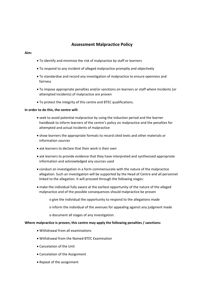### **Assessment Malpractice Policy**

#### **Aim:**

- To identify and minimise the risk of malpractice by staff or learners
- To respond to any incident of alleged malpractice promptly and objectively
- To standardise and record any investigation of malpractice to ensure openness and fairness
- To impose appropriate penalties and/or sanctions on learners or staff where Incidents (or attempted incidents) of malpractice are proven
- To protect the integrity of this centre and BTEC qualifications.

#### **In order to do this, the centre will:**

- seek to avoid potential malpractice by using the induction period and the learner handbook to inform learners of the centre's policy on malpractice and the penalties for attempted and actual incidents of malpractice
- show learners the appropriate formats to record cited texts and other materials or information sources
- ask learners to declare that their work is their own
- ask learners to provide evidence that they have interpreted and synthesised appropriate information and acknowledged any sources used
- conduct an investigation in a form commensurate with the nature of the malpractice allegation. Such an investigation will be supported by the Head of Centre and all personnel linked to the allegation. It will proceed through the following stages:
- make the individual fully aware at the earliest opportunity of the nature of the alleged malpractice and of the possible consequences should malpractice be proven
	- o give the individual the opportunity to respond to the allegations made
	- o inform the individual of the avenues for appealing against any judgment made
	- o document all stages of any investigation.

#### **Where malpractice is proven, this centre may apply the following penalties / sanctions:**

- Withdrawal from all examinations
- Withdrawal from the Named BTEC Examination
- Cancelation of the Unit
- Cancelation of the Assignment
- Repeat of the assignment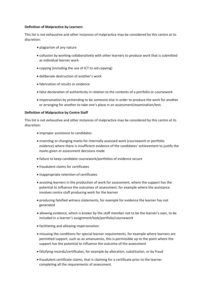#### **Definition of Malpractice by Learners**

This list is not exhaustive and other instances of malpractice may be considered by this centre at its discretion:

- plagiarism of any nature
- collusion by working collaboratively with other learners to produce work that is submitted as individual learner work
- copying (including the use of ICT to aid copying)
- deliberate destruction of another's work
- fabrication of results or evidence
- false declaration of authenticity in relation to the contents of a portfolio or coursework
- impersonation by pretending to be someone else in order to produce the work for another or arranging for another to take one's place in an assessment/examination/test.

#### **Definition of Malpractice by Centre Staff**

This list is not exhaustive and other instances of malpractice may be considered by this centre at its discretion:

- improper assistance to candidates
- inventing or changing marks for internally assessed work (coursework or portfolio evidence) where there is insufficient evidence of the candidates' achievement to justify the marks given or assessment decisions made
- failure to keep candidate coursework/portfolios of evidence secure
- fraudulent claims for certificates
- inappropriate retention of certificates
- assisting learners in the production of work for assessment, where the support has the potential to influence the outcomes of assessment, for example where the assistance involves centre staff producing work for the learner
- producing falsified witness statements, for example for evidence the learner has not generated
- allowing evidence, which is known by the staff member not to be the learner's own, to be included in a learner's assignment/task/portfolio/coursework
- facilitating and allowing impersonation
- misusing the conditions for special learner requirements, for example where learners are permitted support, such as an amanuensis, this is permissible up to the point where the support has the potential to influence the outcome of the assessment
- falsifying records/certificates, for example by alteration, substitution, or by fraud
- fraudulent certificate claims, that is claiming for a certificate prior to the learner completing all the requirements of assessment.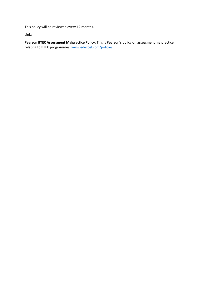This policy will be reviewed every 12 months.

Links

**Pearson BTEC Assessment Malpractice Policy**: This is Pearson's policy on assessment malpractice relating to BTEC programmes: www.edexcel.com/policies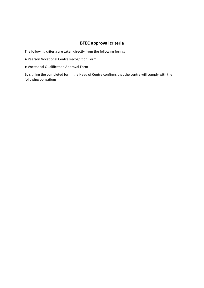### **BTEC approval criteria**

The following criteria are taken directly from the following forms:

- Pearson Vocational Centre Recognition Form
- VocaƟonal QualificaƟon Approval Form

By signing the completed form, the Head of Centre confirms that the centre will comply with the following obligations.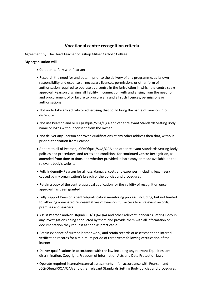### **Vocational centre recognition criteria**

Agreement by: The Head Teacher of Bishop Milner Catholic College.

#### **My organisation will**

- Co‐operate fully with Pearson
- Research the need for and obtain, prior to the delivery of any programme, at its own responsibility and expense all necessary licences, permissions or other form of authorisation required to operate as a centre in the jurisdiction in which the centre seeks approval. Pearson disclaims all liability in connection with and arising from the need for and procurement of or failure to procure any and all such licences, permissions or authorisations
- Not undertake any activity or advertising that could bring the name of Pearson into disrepute
- Not use Pearson and or JCQ/Ofqual/SQA/QAA and other relevant Standards Setting Body name or logos without consent from the owner
- Not deliver any Pearson approved qualifications at any other address then that, without prior authorisation from Pearson
- Adhere to all of Pearson, JCQ/Ofqual/SQA/QAA and other relevant Standards Setting Body policies and procedures, and terms and conditions for continued Centre Recognition, as amended from time to time, and whether provided in hard copy or made available on the relevant body's website
- Fully indemnify Pearson for all loss, damage, costs and expenses (including legal fees) caused by my organisation's breach of the policies and procedures
- Retain a copy of the centre approval application for the validity of recognition once approval has been granted
- Fully support Pearson's centre/qualification monitoring process, including, but not limited to, allowing nominated representatives of Pearson, full access to all relevant records, premises and learners
- Assist Pearson and/or Ofqual/JCQ/SQA/QAA and other relevant Standards Setting Body in any investigations being conducted by them and provide them with all information or documentation they request as soon as practicable
- Retain evidence of current learner work, and retain records of assessment and internal verification records for a minimum period of three years following certification of the learner
- Deliver qualifications in accordance with the law including any relevant Equalities, anti‐ discrimination, Copyright, Freedom of Information Acts and Data Protection laws
- Operate required internal/external assessments in full accordance with Pearson and JCQ/Ofqual/SQA/QAA and other relevant Standards Setting Body policies and procedures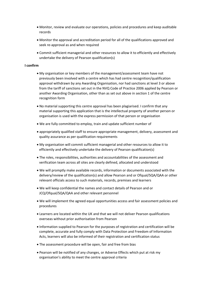- Monitor, review and evaluate our operations, policies and procedures and keep auditable records
- Monitor the approval and accreditation period for all of the qualifications approved and seek re-approval as and when required
- Commit sufficient managerial and other resources to allow it to efficiently and effectively undertake the delivery of Pearson qualification(s)

#### **I confirm**

- My organisation or key members of the management/assessment team have not previously been involved with a centre which has had centre recognition/qualification approval withdrawn by any Awarding Organisation, nor had sanctions at level 3 or above from the tariff of sanctions set out in the NVQ Code of Practice 2006 applied by Pearson or another Awarding Organisation, other than as set out above in section 1 of the centre recognition form
- No material supporting this centre approval has been plagiarised. I confirm that any material supporting this application that is the intellectual property of another person or organisation is used with the express permission of that person or organisation
- We are fully committed to employ, train and update sufficient number of
- appropriately qualified staff to ensure appropriate management, delivery, assessment and quality assurance as per qualification requirements
- My organisation will commit sufficient managerial and other resources to allow it to efficiently and effectively undertake the delivery of Pearson qualification(s)
- The roles, responsibilities, authorities and accountabilities of the assessment and verification team across all sites are clearly defined, allocated and understood
- We will promptly make available records, information or documents associated with the delivery/review of the qualification(s) and allow Pearson and or Ofqual/SQA/QAA or other relevant officials access to such materials, records, premises and learners
- We will keep confidential the names and contact details of Pearson and or JCQ/Ofqual/SQA/QAA and other relevant personnel
- We will implement the agreed equal opportunities access and fair assessment policies and procedures
- Learners are located within the UK and that we will not deliver Pearson qualifications overseas without prior authorisation from Pearson
- Information supplied to Pearson for the purposes of registration and certification will be complete, accurate and fully comply with Data Protection and Freedom of Information Acts, learners will also be informed of their registration and certification status
- The assessment procedure will be open, fair and free from bias
- Pearson will be notified of any changes, or Adverse Effects which put at risk my organisation's ability to meet the centre approval criteria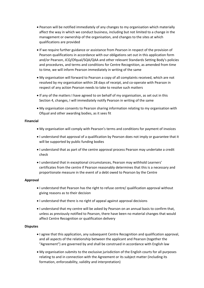- Pearson will be notified immediately of any changes to my organisation which materially affect the way in which we conduct business, including but not limited to a change in the management or ownership of the organisation, and changes to the sites at which qualifications are provided
- If we require further guidance or assistance from Pearson in respect of the provision of Pearson qualifications in accordance with our obligations set out in this application form and/or Pearson, JCQ/Ofqual/SQA/QAA and other relevant Standards Setting Body's policies and procedures, and terms and conditions for Centre Recognition, as amended from time to time, we will inform Pearson immediately in writing of the same
- My organisation will forward to Pearson a copy of all complaints received, which are not resolved by my organisation within 28 days of receipt, and co-operate with Pearson in respect of any action Pearson needs to take to resolve such matters
- If any of the matters I have agreed to on behalf of my organisation, as set out in this Section 4, changes, I will immediately notify Pearson in writing of the same
- My organisation consents to Pearson sharing information relating to my organisation with Ofqual and other awarding bodies, as it sees fit

#### **Financial**

- My organisation will comply with Pearson's terms and conditions for payment of invoices
- I understand that approval of a qualification by Pearson does not imply or guarantee that it will be supported by public funding bodies
- I understand that as part of the centre approval process Pearson may undertake a credit check
- I understand that in exceptional circumstances, Pearson may withhold Learners' certificates from the centre if Pearson reasonably determines that this is a necessary and proportionate measure in the event of a debt owed to Pearson by the Centre

#### **Approval**

- I understand that Pearson has the right to refuse centre/ qualification approval without giving reasons as to their decision
- I understand that there is no right of appeal against approval decisions
- I understand that my centre will be asked by Pearson on an annual basis to confirm that, unless as previously notified to Pearson, there have been no material changes that would affect Centre Recognition or qualification delivery

#### **Disputes**

- I agree that this application, any subsequent Centre Recognition and qualification approval, and all aspects of the relationship between the applicant and Pearson (together the "Agreement") are governed by and shall be construed in accordance with English law
- My organisation submits to the exclusive jurisdiction of the English courts for all purposes relating to and in connection with the Agreement or its subject matter (including its formation, enforceability, validity and interpretation)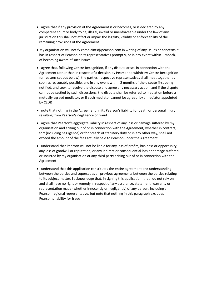- I agree that if any provision of the Agreement is or becomes, or is declared by any competent court or body to be, illegal, invalid or unenforceable under the law of any jurisdiction this shall not affect or impair the legality, validity or enforceability of the remaining provisions of the Agreement
- My organisation will notify complaints@pearson.com in writing of any issues or concerns it has in respect of Pearson or its representatives promptly, or in any event within 1 month, of becoming aware of such issues
- $\bullet$  I agree that, following Centre Recognition, if any dispute arises in connection with the Agreement (other than in respect of a decision by Pearson to withdraw Centre Recognition for reasons set out below), the parties' respective representatives shall meet together as soon as reasonably possible, and in any event within 2 months of the dispute first being notified, and seek to resolve the dispute and agree any necessary action, and if the dispute cannot be settled by such discussions, the dispute shall be referred to mediation before a mutually agreed mediator, or if such mediator cannot be agreed, by a mediator appointed by CEDR
- I note that nothing in the Agreement limits Pearson's liability for death or personal injury resulting from Pearson's negligence or fraud
- $\bullet$  I agree that Pearson's aggregate liability in respect of any loss or damage suffered by my organisation and arising out of or in connection with the Agreement, whether in contract, tort (including negligence) or for breach of statutory duty or in any other way, shall not exceed the amount of the fees actually paid to Pearson under the Agreement
- I understand that Pearson will not be liable for any loss of profits, business or opportunity, any loss of goodwill or reputation, or any indirect or consequential loss or damage suffered or incurred by my organisation or any third party arising out of or in connection with the Agreement
- I understand that this application constitutes the entire agreement and understanding between the parties and supersedes all previous agreements between the parties relating to its subject matter. I acknowledge that, in signing this application, that I do not rely on and shall have no right or remedy in respect of any assurance, statement, warranty or representation made (whether innocently or negligently) of any person, including a Pearson regional representative, but note that nothing in this paragraph excludes Pearson's liability for fraud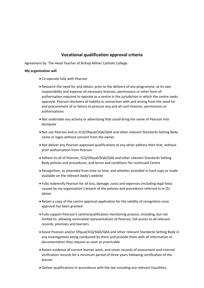## **Vocational qualification approval criteria**

Agreement by: The Head Teacher of Bishop Milner Catholic College.

#### **My organisation will**

- Co‐operate fully with Pearson
- Research the need for and obtain, prior to the delivery of any programme, at its own responsibility and expense all necessary licences, permissions or other form of authorisation required to operate as a centre in the jurisdiction in which the centre seeks approval. Pearson disclaims all liability in connection with and arising from the need for and procurement of or failure to procure any and all such licences, permissions or authorisations
- Not undertake any activity or advertising that could bring the name of Pearson into disrepute
- Not use Pearson and or JCQ/Ofqual/SQA/QAA and other relevant Standards Setting Body name or logos without consent from the owner
- Not deliver any Pearson approved qualifications at any other address then that, without prior authorisation from Pearson
- Adhere to all of Pearson, JCQ/Ofqual/SQA/QAA and other relevant Standards Setting Body policies and procedures, and terms and conditions for continued Centre
- Recognition, as amended from time to time, and whether provided in hard copy or made available on the relevant body's website
- Fully indemnify Pearson for all loss, damage, costs and expenses (including legal fees) caused by my organisation's breach of the policies and procedures referred to in (5) above
- Retain a copy of the centre approval application for the validity of recognition once approval has been granted
- Fully support Pearson's centre/qualification monitoring process, including, but not limited to, allowing nominated representatives of Pearson, full access to all relevant records, premises and learners
- Assist Pearson and/or Ofqual/JCQ/SQA/QAA and other relevant Standards Setting Body in any investigations being conducted by them and provide them with all information or documentation they request as soon as practicable
- Retain evidence of current learner work, and retain records of assessment and internal verification records for a minimum period of three years following certification of the learner
- Deliver qualifications in accordance with the law including any relevant Equalities,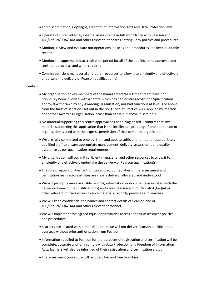- anti discrimination, Copyright, Freedom of Information Acts and Data Protection laws
- Operate required internal/external assessments in full accordance with Pearson and JCQ/Ofqual/SQA/QAA and other relevant Standards Setting Body policies and procedures
- Monitor, review and evaluate our operations, policies and procedures and keep auditable records
- Monitor the approval and accreditation period for all of the qualifications approved and seek re-approval as and when required
- Commit sufficient managerial and other resources to allow it to efficiently and effectively undertake the delivery of Pearson qualification(s)

#### **I confirm**

- My organisation or key members of the management/assessment team have not previously been involved with a centre which has had centre recognition/qualification approval withdrawn by any Awarding Organisation, nor had sanctions at level 3 or above from the tariff of sanctions set out in the NVQ Code of Practice 2006 applied by Pearson or another Awarding Organisation, other than as set out above in section 1
- No material supporting this centre approval has been plagiarised. I confirm that any material supporting this application that is the intellectual property of another person or organisation is used with the express permission of that person or organisation
- We are fully committed to employ, train and update sufficient number of appropriately qualified staff to ensure appropriate management, delivery, assessment and quality assurance as per qualification requirements
- My organisation will commit sufficient managerial and other resources to allow it to efficiently and effectively undertake the delivery of Pearson qualification(s)
- The roles, responsibilities, authorities and accountabilities of the assessment and verification team across all sites are clearly defined, allocated and understood
- We will promptly make available records, information or documents associated with the delivery/review of the qualification(s) and allow Pearson and or Ofqual/SQA/QAA or other relevant officials access to such materials, records, premises and learners
- We will keep confidential the names and contact details of Pearson and or JCQ/Ofqual/SQA/QAA and other relevant personnel
- We will implement the agreed equal opportunities access and fair assessment policies and procedures
- Learners are located within the UK and that we will not deliver Pearson qualifications overseas without prior authorisation from Pearson
- Information supplied to Pearson for the purposes of registration and certification will be complete, accurate and fully comply with Data Protection and Freedom of Information Acts, learners will also be informed of their registration and certification status
- The assessment procedure will be open, fair and free from bias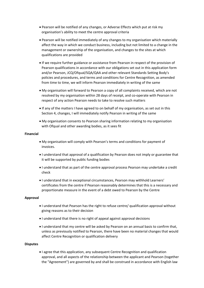- Pearson will be notified of any changes, or Adverse Effects which put at risk my organisation's ability to meet the centre approval criteria
- Pearson will be notified immediately of any changes to my organisation which materially affect the way in which we conduct business, including but not limited to a change in the management or ownership of the organisation, and changes to the sites at which qualifications are provided
- If we require further guidance or assistance from Pearson in respect of the provision of Pearson qualifications in accordance with our obligations set out in this application form and/or Pearson, JCQ/Ofqual/SQA/QAA and other relevant Standards Setting Body's policies and procedures, and terms and conditions for Centre Recognition, as amended from time to time, we will inform Pearson immediately in writing of the same
- My organisation will forward to Pearson a copy of all complaints received, which are not resolved by my organisation within 28 days of receipt, and co-operate with Pearson in respect of any action Pearson needs to take to resolve such matters
- If any of the matters I have agreed to on behalf of my organisation, as set out in this Section 4, changes, I will immediately notify Pearson in writing of the same
- My organisation consents to Pearson sharing information relating to my organisation with Ofqual and other awarding bodies, as it sees fit

#### **Financial**

- My organisation will comply with Pearson's terms and conditions for payment of invoices.
- I understand that approval of a qualification by Pearson does not imply or guarantee that it will be supported by public funding bodies
- I understand that as part of the centre approval process Pearson may undertake a credit check
- I understand that in exceptional circumstances, Pearson may withhold Learners' certificates from the centre if Pearson reasonably determines that this is a necessary and proportionate measure in the event of a debt owed to Pearson by the Centre

#### **Approval**

- I understand that Pearson has the right to refuse centre/ qualification approval without giving reasons as to their decision
- I understand that there is no right of appeal against approval decisions
- I understand that my centre will be asked by Pearson on an annual basis to confirm that, unless as previously notified to Pearson, there have been no material changes that would affect Centre Recognition or qualification delivery

#### **Disputes**

 I agree that this application, any subsequent Centre Recognition and qualification approval, and all aspects of the relationship between the applicant and Pearson (together the "Agreement") are governed by and shall be construed in accordance with English law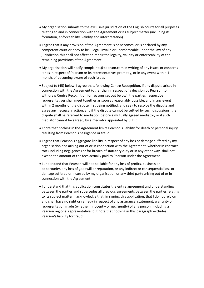- My organisation submits to the exclusive jurisdiction of the English courts for all purposes relating to and in connection with the Agreement or its subject matter (including its formation, enforceability, validity and interpretation)
- I agree that if any provision of the Agreement is or becomes, or is declared by any competent court or body to be, illegal, invalid or unenforceable under the law of any jurisdiction this shall not affect or impair the legality, validity or enforceability of the remaining provisions of the Agreement
- My organisation will notify complaints@pearson.com in writing of any issues or concerns it has in respect of Pearson or its representatives promptly, or in any event within 1 month, of becoming aware of such issues
- Subject to (45) below, I agree that, following Centre Recognition, if any dispute arises in connection with the Agreement (other than in respect of a decision by Pearson to withdraw Centre Recognition for reasons set out below), the parties' respective representatives shall meet together as soon as reasonably possible, and in any event within 2 months of the dispute first being notified, and seek to resolve the dispute and agree any necessary action, and if the dispute cannot be settled by such discussions, the dispute shall be referred to mediation before a mutually agreed mediator, or if such mediator cannot be agreed, by a mediator appointed by CEDR
- I note that nothing in the Agreement limits Pearson's liability for death or personal injury resulting from Pearson's negligence or fraud
- I agree that Pearson's aggregate liability in respect of any loss or damage suffered by my organisation and arising out of or in connection with the Agreement, whether in contract, tort (including negligence) or for breach of statutory duty or in any other way, shall not exceed the amount of the fees actually paid to Pearson under the Agreement
- I understand that Pearson will not be liable for any loss of profits, business or opportunity, any loss of goodwill or reputation, or any indirect or consequential loss or damage suffered or incurred by my organisation or any third party arising out of or in connection with the Agreement
- $\bullet$  I understand that this application constitutes the entire agreement and understanding between the parties and supersedes all previous agreements between the parties relating to its subject matter. I acknowledge that, in signing this application, that I do not rely on and shall have no right or remedy in respect of any assurance, statement, warranty or representation made (whether innocently or negligently) of any person, including a Pearson regional representative, but note that nothing in this paragraph excludes Pearson's liability for fraud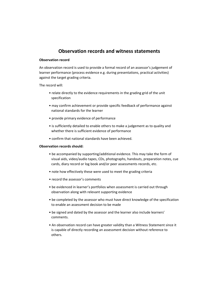# **Observation records and witness statements**

#### **Observation record**

An observation record is used to provide a formal record of an assessor's judgement of learner performance (process evidence e.g. during presentations, practical activities) against the target grading criteria.

The record will:

- relate directly to the evidence requirements in the grading grid of the unit specification
- may confirm achievement or provide specific feedback of performance against national standards for the learner
- provide primary evidence of performance
- is sufficiently detailed to enable others to make a judgement as to quality and whether there is sufficient evidence of performance
- confirm that national standards have been achieved.

#### **Observation records should:**

- be accompanied by supporting/additional evidence. This may take the form of visual aids, video/audio tapes, CDs, photographs, handouts, preparation notes, cue cards, diary record or log book and/or peer assessments records, etc.
- note how effectively these were used to meet the grading criteria
- record the assessor's comments
- be evidenced in learner's portfolios when assessment is carried out through observation along with relevant supporting evidence
- be completed by the assessor who must have direct knowledge of the specification to enable an assessment decision to be made
- be signed and dated by the assessor and the learner also include learners' comments.
- An observation record can have greater validity than a Witness Statement since it is capable of directly recording an assessment decision without reference to others.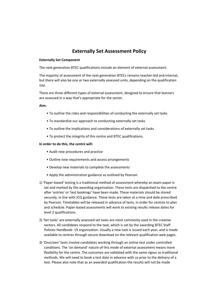# **Externally Set Assessment Policy**

#### **Externally Set Component**

The next generation BTEC qualifications include an element of external assessment.

The majority of assessment of the next generation BTECs remains teacher‐led and internal, but there will also be one or two externally assessed units, depending on the qualification size.

There are three different types of external assessment, designed to ensure that learners are assessed in a way that's appropriate for the sector.

**Aim:** 

- To outline the roles and responsibilities of conducting the externally set tasks
- To standardise our approach to conducting externally set tasks
- To outline the implications and considerations of externally set tasks
- To protect the integrity of this centre and BTEC qualifications.

#### **In order to do this, the centre will:**

- Audit new procedures and practice
- Outline new requirements and access arrangements
- Develop new materials to complete the assessments
- Apply the administration guidance as outlined by Pearson
- 1) 'Paper‐based' testing is a traditional method of assessment whereby an exam paper is set and marked by the awarding organisation. These tests are dispatched to the centre after 'entries' or 'test bookings' have been made. These materials should be stored securely, in line with JCQ guidance. These tests are taken at a time and date prescribed by Pearson. Timetables will be released in advance of tests, in order for centres to plan and schedule. Paper‐based assessments will work to existing results release dates for level 2 qualifications.
- 2) 'Set tasks' are externally assessed set tasks are most commonly used in the creative sectors. All candidates respond to the task, which is set by the awarding BTEC Staff Policies Handbook‐ 19 organisation. Usually a new task is issued each year, and is made available to centres through secure download on the relevant qualification web pages.
- 3) 'Onscreen' tests involve candidates working through an online test under controlled conditions. The 'on demand' nature of this mode of external assessment means more flexibility for the centre. The outcomes are validated with the same rigour as traditional methods. We will need to book a test date in advance with us prior to the delivery of a test. Please also note that as an awarded qualification the results will not be made